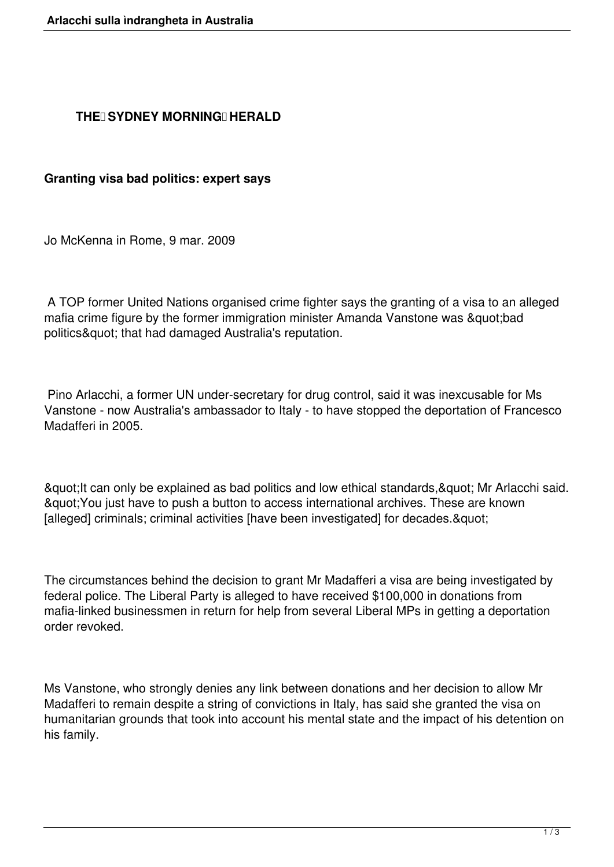## **THE SYDNEY MORNING HERALD**

**Granting visa bad politics: expert says**

Jo McKenna in Rome, 9 mar. 2009

 A TOP former United Nations organised crime fighter says the granting of a visa to an alleged mafia crime figure by the former immigration minister Amanda Vanstone was "bad politics" that had damaged Australia's reputation.

 Pino Arlacchi, a former UN under-secretary for drug control, said it was inexcusable for Ms Vanstone - now Australia's ambassador to Italy - to have stopped the deportation of Francesco Madafferi in 2005.

" It can only be explained as bad politics and low ethical standards, " Mr Arlacchi said. " You just have to push a button to access international archives. These are known [alleged] criminals; criminal activities [have been investigated] for decades. & quot;

The circumstances behind the decision to grant Mr Madafferi a visa are being investigated by federal police. The Liberal Party is alleged to have received \$100,000 in donations from mafia-linked businessmen in return for help from several Liberal MPs in getting a deportation order revoked.

Ms Vanstone, who strongly denies any link between donations and her decision to allow Mr Madafferi to remain despite a string of convictions in Italy, has said she granted the visa on humanitarian grounds that took into account his mental state and the impact of his detention on his family.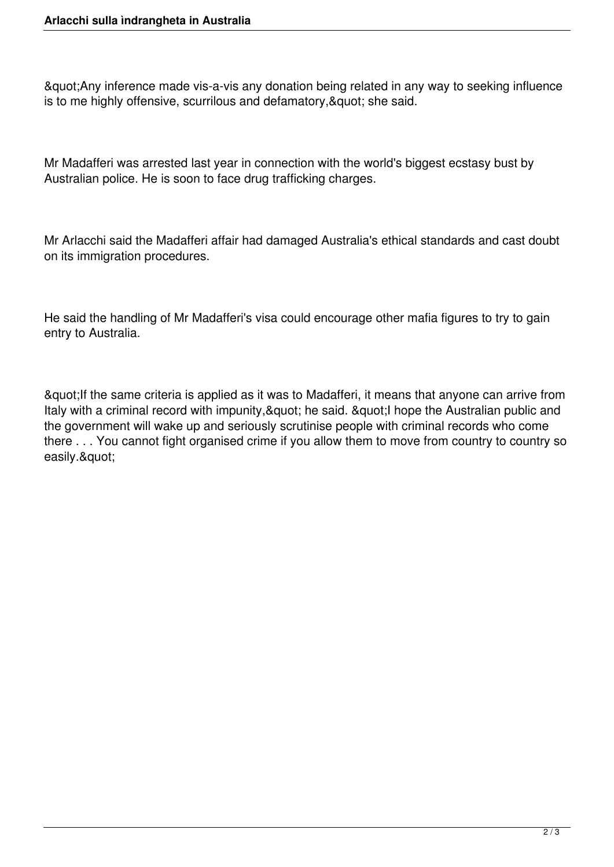"Any inference made vis-a-vis any donation being related in any way to seeking influence is to me highly offensive, scurrilous and defamatory, & quot; she said.

Mr Madafferi was arrested last year in connection with the world's biggest ecstasy bust by Australian police. He is soon to face drug trafficking charges.

Mr Arlacchi said the Madafferi affair had damaged Australia's ethical standards and cast doubt on its immigration procedures.

He said the handling of Mr Madafferi's visa could encourage other mafia figures to try to gain entry to Australia.

" If the same criteria is applied as it was to Madafferi, it means that anyone can arrive from Italy with a criminal record with impunity, & quot; he said. & quot; I hope the Australian public and the government will wake up and seriously scrutinise people with criminal records who come there . . . You cannot fight organised crime if you allow them to move from country to country so easily."